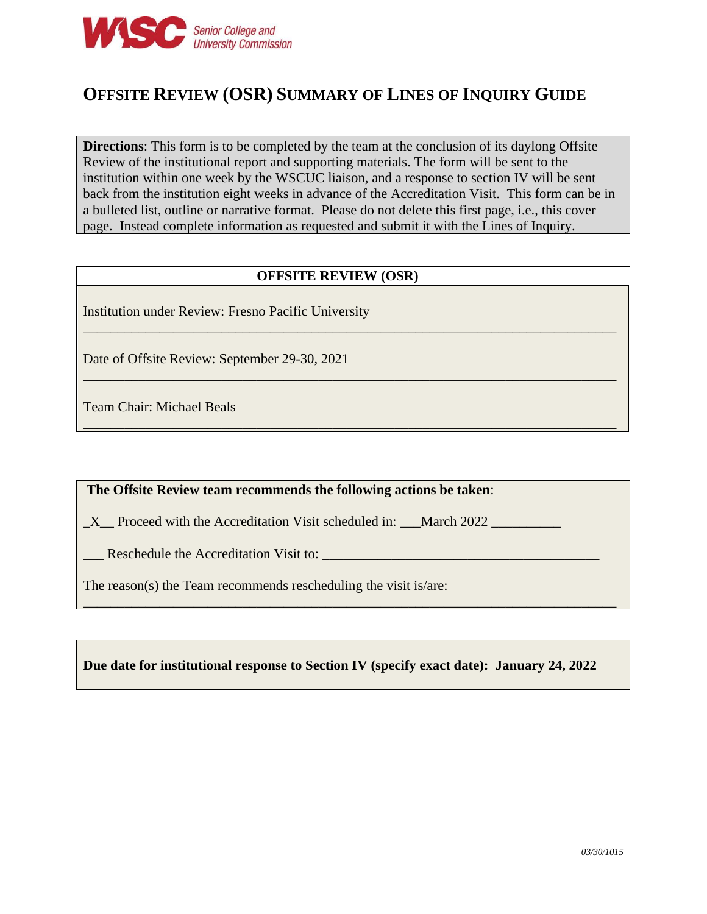

# **OFFSITE REVIEW (OSR) SUMMARY OF LINES OF INQUIRY GUIDE**

**Directions**: This form is to be completed by the team at the conclusion of its daylong Offsite Review of the institutional report and supporting materials. The form will be sent to the institution within one week by the WSCUC liaison, and a response to section IV will be sent back from the institution eight weeks in advance of the Accreditation Visit. This form can be in a bulleted list, outline or narrative format. Please do not delete this first page, i.e., this cover page. Instead complete information as requested and submit it with the Lines of Inquiry.

#### **OFFSITE REVIEW (OSR)**

\_\_\_\_\_\_\_\_\_\_\_\_\_\_\_\_\_\_\_\_\_\_\_\_\_\_\_\_\_\_\_\_\_\_\_\_\_\_\_\_\_\_\_\_\_\_\_\_\_\_\_\_\_\_\_\_\_\_\_\_\_\_\_\_\_\_\_\_\_\_\_\_\_\_\_\_\_

\_\_\_\_\_\_\_\_\_\_\_\_\_\_\_\_\_\_\_\_\_\_\_\_\_\_\_\_\_\_\_\_\_\_\_\_\_\_\_\_\_\_\_\_\_\_\_\_\_\_\_\_\_\_\_\_\_\_\_\_\_\_\_\_\_\_\_\_\_\_\_\_\_\_\_\_\_

\_\_\_\_\_\_\_\_\_\_\_\_\_\_\_\_\_\_\_\_\_\_\_\_\_\_\_\_\_\_\_\_\_\_\_\_\_\_\_\_\_\_\_\_\_\_\_\_\_\_\_\_\_\_\_\_\_\_\_\_\_\_\_\_\_\_\_\_\_\_\_\_\_\_\_\_\_

Institution under Review: Fresno Pacific University

Date of Offsite Review: September 29-30, 2021

Team Chair: Michael Beals

#### **The Offsite Review team recommends the following actions be taken**:

X Proceed with the Accreditation Visit scheduled in: March 2022

Let Be Accreditation Visit to:

The reason(s) the Team recommends rescheduling the visit is/are:

#### **Due date for institutional response to Section IV (specify exact date): January 24, 2022**

\_\_\_\_\_\_\_\_\_\_\_\_\_\_\_\_\_\_\_\_\_\_\_\_\_\_\_\_\_\_\_\_\_\_\_\_\_\_\_\_\_\_\_\_\_\_\_\_\_\_\_\_\_\_\_\_\_\_\_\_\_\_\_\_\_\_\_\_\_\_\_\_\_\_\_\_\_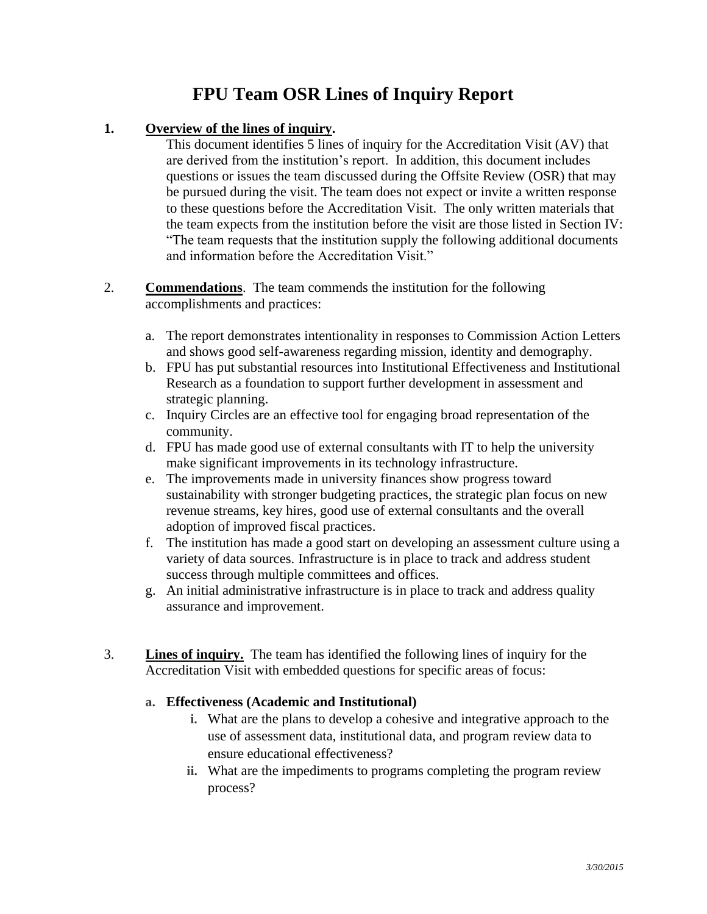# **FPU Team OSR Lines of Inquiry Report**

## **1. Overview of the lines of inquiry.**

This document identifies 5 lines of inquiry for the Accreditation Visit (AV) that are derived from the institution's report. In addition, this document includes questions or issues the team discussed during the Offsite Review (OSR) that may be pursued during the visit. The team does not expect or invite a written response to these questions before the Accreditation Visit. The only written materials that the team expects from the institution before the visit are those listed in Section IV: "The team requests that the institution supply the following additional documents and information before the Accreditation Visit."

- 2. **Commendations**. The team commends the institution for the following accomplishments and practices:
	- a. The report demonstrates intentionality in responses to Commission Action Letters and shows good self-awareness regarding mission, identity and demography.
	- b. FPU has put substantial resources into Institutional Effectiveness and Institutional Research as a foundation to support further development in assessment and strategic planning.
	- c. Inquiry Circles are an effective tool for engaging broad representation of the community.
	- d. FPU has made good use of external consultants with IT to help the university make significant improvements in its technology infrastructure.
	- e. The improvements made in university finances show progress toward sustainability with stronger budgeting practices, the strategic plan focus on new revenue streams, key hires, good use of external consultants and the overall adoption of improved fiscal practices.
	- f. The institution has made a good start on developing an assessment culture using a variety of data sources. Infrastructure is in place to track and address student success through multiple committees and offices.
	- g. An initial administrative infrastructure is in place to track and address quality assurance and improvement.
- 3. **Lines of inquiry.** The team has identified the following lines of inquiry for the Accreditation Visit with embedded questions for specific areas of focus:

## **a. Effectiveness (Academic and Institutional)**

- **i.** What are the plans to develop a cohesive and integrative approach to the use of assessment data, institutional data, and program review data to ensure educational effectiveness?
- **ii.** What are the impediments to programs completing the program review process?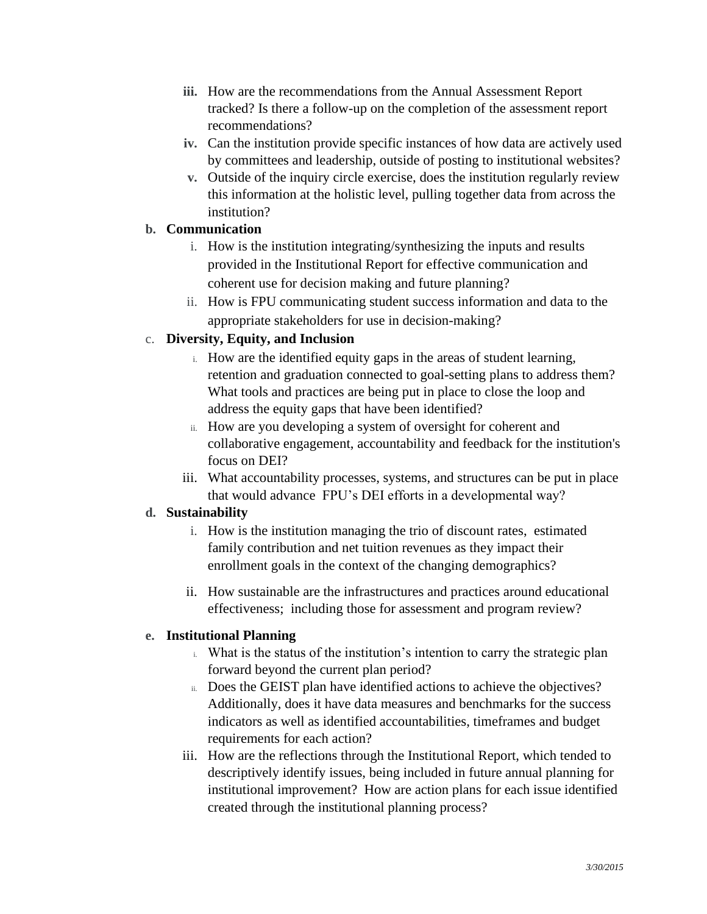- **iii.** How are the recommendations from the Annual Assessment Report tracked? Is there a follow-up on the completion of the assessment report recommendations?
- **iv.** Can the institution provide specific instances of how data are actively used by committees and leadership, outside of posting to institutional websites?
- **v.** Outside of the inquiry circle exercise, does the institution regularly review this information at the holistic level, pulling together data from across the institution?

## **b. Communication**

- i. How is the institution integrating/synthesizing the inputs and results provided in the Institutional Report for effective communication and coherent use for decision making and future planning?
- ii. How is FPU communicating student success information and data to the appropriate stakeholders for use in decision-making?

# c. **Diversity, Equity, and Inclusion**

- i. How are the identified equity gaps in the areas of student learning, retention and graduation connected to goal-setting plans to address them? What tools and practices are being put in place to close the loop and address the equity gaps that have been identified?
- ii. How are you developing a system of oversight for coherent and collaborative engagement, accountability and feedback for the institution's focus on DEI?
- iii. What accountability processes, systems, and structures can be put in place that would advance FPU's DEI efforts in a developmental way?

## **d. Sustainability**

- i. How is the institution managing the trio of discount rates, estimated family contribution and net tuition revenues as they impact their enrollment goals in the context of the changing demographics?
- ii. How sustainable are the infrastructures and practices around educational effectiveness; including those for assessment and program review?

# **e. Institutional Planning**

- i. What is the status of the institution's intention to carry the strategic plan forward beyond the current plan period?
- ii. Does the GEIST plan have identified actions to achieve the objectives? Additionally, does it have data measures and benchmarks for the success indicators as well as identified accountabilities, timeframes and budget requirements for each action?
- iii. How are the reflections through the Institutional Report, which tended to descriptively identify issues, being included in future annual planning for institutional improvement? How are action plans for each issue identified created through the institutional planning process?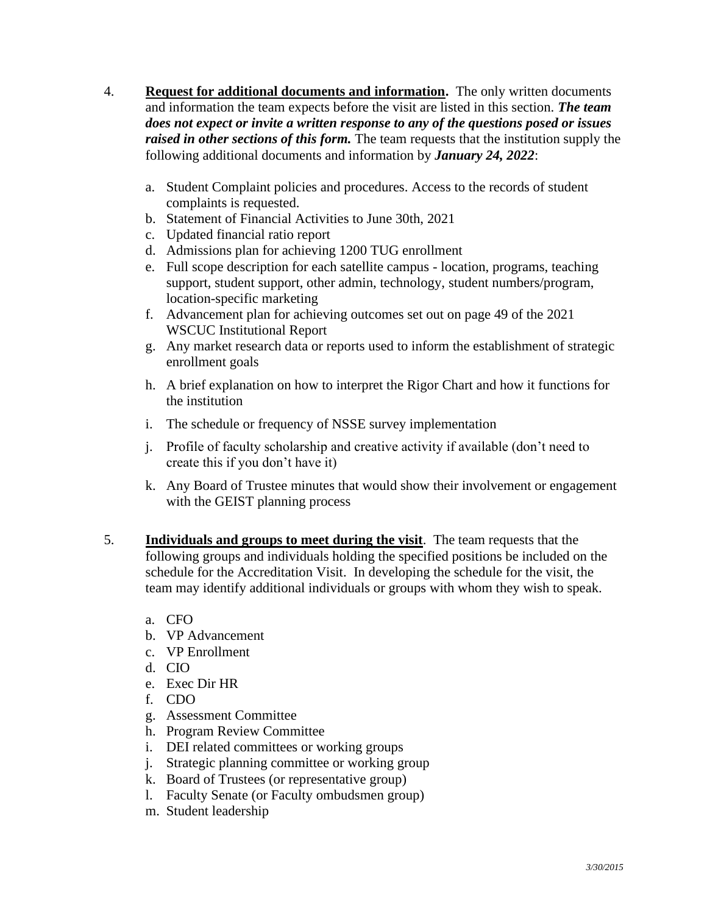- 4. **Request for additional documents and information.** The only written documents and information the team expects before the visit are listed in this section. *The team does not expect or invite a written response to any of the questions posed or issues raised in other sections of this form.* The team requests that the institution supply the following additional documents and information by *January 24, 2022*:
	- a. Student Complaint policies and procedures. Access to the records of student complaints is requested.
	- b. Statement of Financial Activities to June 30th, 2021
	- c. Updated financial ratio report
	- d. Admissions plan for achieving 1200 TUG enrollment
	- e. Full scope description for each satellite campus location, programs, teaching support, student support, other admin, technology, student numbers/program, location-specific marketing
	- f. Advancement plan for achieving outcomes set out on page 49 of the 2021 WSCUC Institutional Report
	- g. Any market research data or reports used to inform the establishment of strategic enrollment goals
	- h. A brief explanation on how to interpret the Rigor Chart and how it functions for the institution
	- i. The schedule or frequency of NSSE survey implementation
	- j. Profile of faculty scholarship and creative activity if available (don't need to create this if you don't have it)
	- k. Any Board of Trustee minutes that would show their involvement or engagement with the GEIST planning process
- 5. **Individuals and groups to meet during the visit**. The team requests that the following groups and individuals holding the specified positions be included on the schedule for the Accreditation Visit. In developing the schedule for the visit, the team may identify additional individuals or groups with whom they wish to speak.
	- a. CFO
	- b. VP Advancement
	- c. VP Enrollment
	- d. CIO
	- e. Exec Dir HR
	- f. CDO
	- g. Assessment Committee
	- h. Program Review Committee
	- i. DEI related committees or working groups
	- j. Strategic planning committee or working group
	- k. Board of Trustees (or representative group)
	- l. Faculty Senate (or Faculty ombudsmen group)
	- m. Student leadership